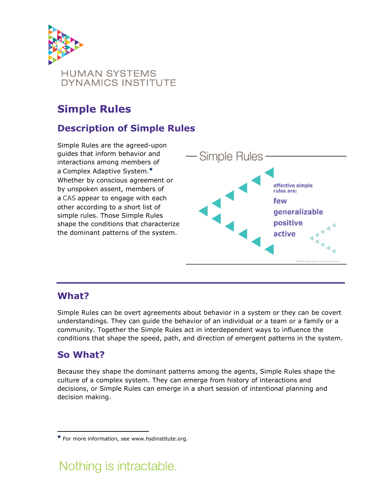

## **Simple Rules**

### **Description of Simple Rules**

Simple Rules are the agreed-upon guides that inform behavior and interactions among members of a Complex Adaptive System. Whether by conscious agreement or by unspoken assent, members of a CAS appear to engage with each other according to a short list of simple rules. Those Simple Rules shape the conditions that characterize the dominant patterns of the system.



### **What?**

Simple Rules can be overt agreements about behavior in a system or they can be covert understandings. They can guide the behavior of an individual or a team or a family or a community. Together the Simple Rules act in interdependent ways to influence the conditions that shape the speed, path, and direction of emergent patterns in the system.

### **So What?**

l

Because they shape the dominant patterns among the agents, Simple Rules shape the culture of a complex system. They can emerge from history of interactions and decisions, or Simple Rules can emerge in a short session of intentional planning and decision making.

# Nothing is intractable.

<sup>\*</sup> For more information, see www.hsdinstitute.org.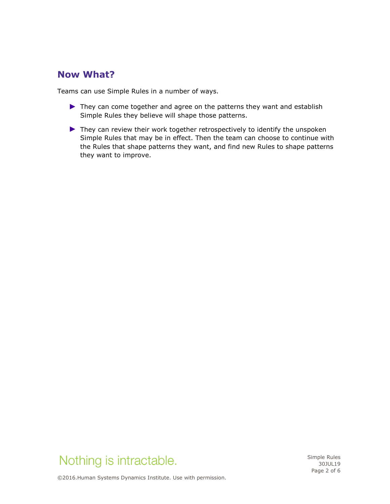#### **Now What?**

Teams can use Simple Rules in a number of ways.

- ► They can come together and agree on the patterns they want and establish Simple Rules they believe will shape those patterns.
- ► They can review their work together retrospectively to identify the unspoken Simple Rules that may be in effect. Then the team can choose to continue with the Rules that shape patterns they want, and find new Rules to shape patterns they want to improve.



Simple Rules 30JUL19 Page 2 of 6

©2016.Human Systems Dynamics Institute. Use with permission.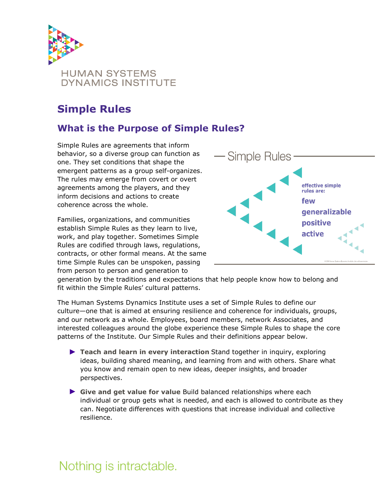

## **Simple Rules**

### **What is the Purpose of Simple Rules?**

Simple Rules are agreements that inform behavior, so a diverse group can function as one. They set conditions that shape the emergent patterns as a group self-organizes. The rules may emerge from covert or overt agreements among the players, and they inform decisions and actions to create coherence across the whole.

Families, organizations, and communities establish Simple Rules as they learn to live, work, and play together. Sometimes Simple Rules are codified through laws, regulations, contracts, or other formal means. At the same time Simple Rules can be unspoken, passing from person to person and generation to



generation by the traditions and expectations that help people know how to belong and fit within the Simple Rules' cultural patterns.

The Human Systems Dynamics Institute uses a set of Simple Rules to define our culture—one that is aimed at ensuring resilience and coherence for individuals, groups, and our network as a whole. Employees, board members, network Associates, and interested colleagues around the globe experience these Simple Rules to shape the core patterns of the Institute. Our Simple Rules and their definitions appear below.

- ► **Teach and learn in every interaction** Stand together in inquiry, exploring ideas, building shared meaning, and learning from and with others. Share what you know and remain open to new ideas, deeper insights, and broader perspectives.
- ► **Give and get value for value** Build balanced relationships where each individual or group gets what is needed, and each is allowed to contribute as they can. Negotiate differences with questions that increase individual and collective resilience.

# Nothing is intractable.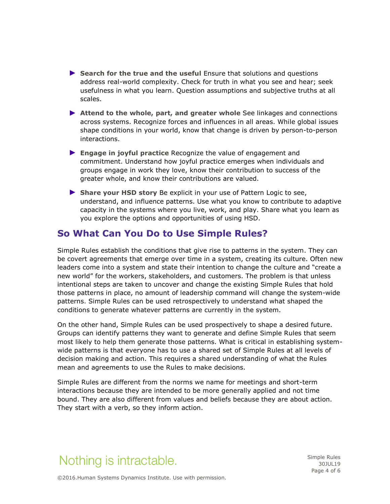- ► **Search for the true and the useful** Ensure that solutions and questions address real-world complexity. Check for truth in what you see and hear; seek usefulness in what you learn. Question assumptions and subjective truths at all scales.
- ► **Attend to the whole, part, and greater whole** See linkages and connections across systems. Recognize forces and influences in all areas. While global issues shape conditions in your world, know that change is driven by person-to-person interactions.
- ► **Engage in joyful practice** Recognize the value of engagement and commitment. Understand how joyful practice emerges when individuals and groups engage in work they love, know their contribution to success of the greater whole, and know their contributions are valued.
- ► **Share your HSD story** Be explicit in your use of Pattern Logic to see, understand, and influence patterns. Use what you know to contribute to adaptive capacity in the systems where you live, work, and play. Share what you learn as you explore the options and opportunities of using HSD.

#### **So What Can You Do to Use Simple Rules?**

Simple Rules establish the conditions that give rise to patterns in the system. They can be covert agreements that emerge over time in a system, creating its culture. Often new leaders come into a system and state their intention to change the culture and "create a new world" for the workers, stakeholders, and customers. The problem is that unless intentional steps are taken to uncover and change the existing Simple Rules that hold those patterns in place, no amount of leadership command will change the system-wide patterns. Simple Rules can be used retrospectively to understand what shaped the conditions to generate whatever patterns are currently in the system.

On the other hand, Simple Rules can be used prospectively to shape a desired future. Groups can identify patterns they want to generate and define Simple Rules that seem most likely to help them generate those patterns. What is critical in establishing systemwide patterns is that everyone has to use a shared set of Simple Rules at all levels of decision making and action. This requires a shared understanding of what the Rules mean and agreements to use the Rules to make decisions.

Simple Rules are different from the norms we name for meetings and short-term interactions because they are intended to be more generally applied and not time bound. They are also different from values and beliefs because they are about action. They start with a verb, so they inform action.

# Nothing is intractable.

Simple Rules 30JUL19 Page 4 of 6

©2016.Human Systems Dynamics Institute. Use with permission.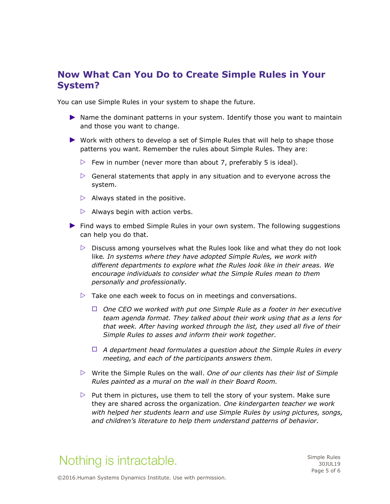#### **Now What Can You Do to Create Simple Rules in Your System?**

You can use Simple Rules in your system to shape the future.

- ► Name the dominant patterns in your system. Identify those you want to maintain and those you want to change.
- ► Work with others to develop a set of Simple Rules that will help to shape those patterns you want. Remember the rules about Simple Rules. They are:
	- $\triangleright$  Few in number (never more than about 7, preferably 5 is ideal).
	- $\triangleright$  General statements that apply in any situation and to everyone across the system.
	- $\triangleright$  Always stated in the positive.
	- $\triangleright$  Always begin with action verbs.
- ► Find ways to embed Simple Rules in your own system. The following suggestions can help you do that.
	- $\triangleright$  Discuss among yourselves what the Rules look like and what they do not look like*. In systems where they have adopted Simple Rules, we work with different departments to explore what the Rules look like in their areas. We encourage individuals to consider what the Simple Rules mean to them personally and professionally.*
	- $\triangleright$  Take one each week to focus on in meetings and conversations.
		- *One CEO we worked with put one Simple Rule as a footer in her executive team agenda format. They talked about their work using that as a lens for that week. After having worked through the list, they used all five of their Simple Rules to asses and inform their work together.*
		- *A department head formulates a question about the Simple Rules in every meeting, and each of the participants answers them.*
	- Write the Simple Rules on the wall. *One of our clients has their list of Simple Rules painted as a mural on the wall in their Board Room.*
	- $\triangleright$  Put them in pictures, use them to tell the story of your system. Make sure they are shared across the organization*. One kindergarten teacher we work with helped her students learn and use Simple Rules by using pictures, songs, and children's literature to help them understand patterns of behavior.*

## Nothing is intractable.

Simple Rules 30JUL19 Page 5 of 6